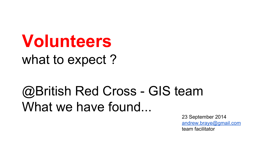**Volunteers** what to expect?

## @British Red Cross - GIS team What we have found...

23 September 2014 [andrew.braye@gmail.com](mailto:andrew.braye@gmail.com) team facilitator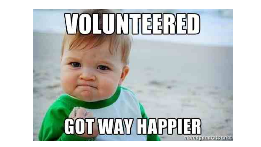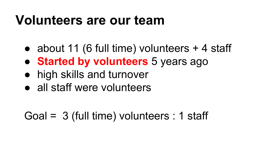#### **Volunteers are our team**

- about 11 (6 full time) volunteers + 4 staff
- **Started by volunteers** 5 years ago
- high skills and turnover
- all staff were volunteers

#### Goal = 3 (full time) volunteers : 1 staff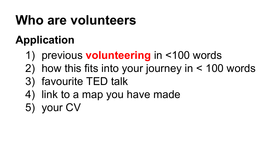# **Who are volunteers**

#### **Application**

- 1) previous **volunteering** in <100 words
- 2) how this fits into your journey in < 100 words
- 3) favourite TED talk
- 4) link to a map you have made
- 5) your CV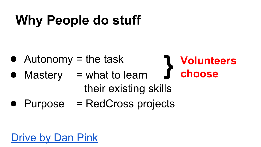# **Why People do stuff**

- $\bullet$  Autonomy = the task
- Autonomy = the task<br>● Mastery = what to learn
	- their existing skills

**Volunteers** 

**choose**

● Purpose = RedCross projects

#### [Drive by Dan Pink](http://www.ted.com/talks/dan_pink_on_motivation?language=en#)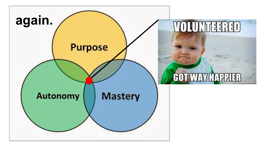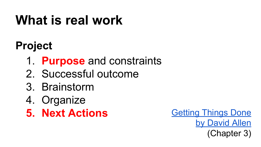# **What is real work**

#### **Project**

- 1. **Purpose** and constraints
- 2. Successful outcome
- 3. Brainstorm
- 4. Organize
- **5. Next Actions**

[Getting Things Done](http://www.wikisummaries.org/Getting_Things_Done:_The_Art_of_Stress-Free_Productivity) [by David Allen](http://www.wikisummaries.org/Getting_Things_Done:_The_Art_of_Stress-Free_Productivity) (Chapter 3)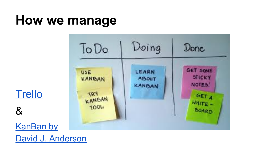## **How we manage**



**[Trello](https://trello.com/)** 

&

**[KanBan by](http://www.amazon.co.uk/Kanban-David-J-Anderson/dp/0984521402/ref=sr_1_1?ie=UTF8&qid=1411129819&sr=8-1&keywords=KanBan)** [David J. Anderson](http://www.amazon.co.uk/Kanban-David-J-Anderson/dp/0984521402/ref=sr_1_1?ie=UTF8&qid=1411129819&sr=8-1&keywords=KanBan)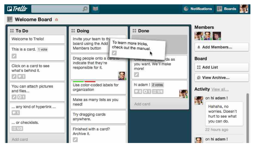

#### Welcome Board A

 $\rho$ 

圖

| <b>SI To Do</b>                                      | <b><i>se</i></b> Doing                                 | <b>SE Done</b>                     | <b>Members</b>                       |
|------------------------------------------------------|--------------------------------------------------------|------------------------------------|--------------------------------------|
| Welcome to Trello!                                   | Invite your team to thi<br>To learn more tricks,       |                                    | <b>SOUTHERN</b>                      |
| This is a card. 1 vote                               | board using the Add<br>Members button                  | check out the manual.              |                                      |
| a                                                    | Drag people onto a cara run<br>use as many services as |                                    | <b>Board</b>                         |
| Click on a card to see<br>what's behind it.<br>0 G 1 | indicate that they're<br>responsible for it.<br>度      | you want. We'll make<br>more!<br>z | <b>es</b> Add List                   |
|                                                      |                                                        |                                    | El View Archive                      |
| You can attach pictures<br>and files<br>701          | Use color-coded labels for<br>organization             | hi adam ! 2 votes                  | <b>Activity View all</b>             |
|                                                      |                                                        | <b>P 6 0 1 ≡ 1/4</b>               | on hi adam!                          |
| any kind of hyperlink<br>œ                           | Make as many lists as you<br>need!                     | Add card                           | Hahaha, no                           |
|                                                      | Try dragging cards<br>anywhere.                        |                                    | worries, Doesn't<br>hurt to see what |
| or checklists.<br>$\equiv 1/3$                       |                                                        |                                    | you can do.                          |
|                                                      | Finished with a card?<br>Archive it.                   |                                    | 22 hours ago                         |
| Add card                                             |                                                        |                                    | on hi adam!                          |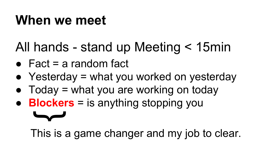### **When we meet**

 $\blacktriangleright$ 

# All hands - stand up Meeting < 15min

- $\bullet$  Fact = a random fact
- Yesterday  $=$  what you worked on yesterday
- $\bullet$  Today = what you are working on today
- **Blockers** = is anything stopping you

This is a game changer and my job to clear.